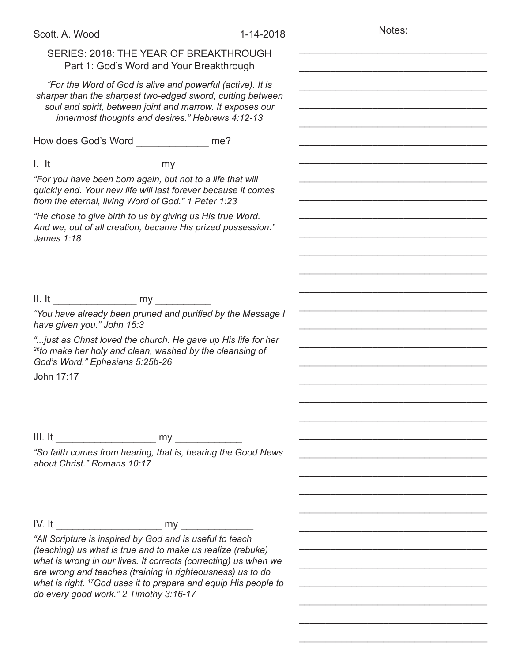| Scott. A. Wood                                                                                                                                                                                                                                                                                                                                                                   | 1-14-2018 | Notes: |
|----------------------------------------------------------------------------------------------------------------------------------------------------------------------------------------------------------------------------------------------------------------------------------------------------------------------------------------------------------------------------------|-----------|--------|
| SERIES: 2018: THE YEAR OF BREAKTHROUGH<br>Part 1: God's Word and Your Breakthrough                                                                                                                                                                                                                                                                                               |           |        |
| "For the Word of God is alive and powerful (active). It is<br>sharper than the sharpest two-edged sword, cutting between<br>soul and spirit, between joint and marrow. It exposes our<br>innermost thoughts and desires." Hebrews 4:12-13                                                                                                                                        |           |        |
| How does God's Word ________________ me?                                                                                                                                                                                                                                                                                                                                         |           |        |
|                                                                                                                                                                                                                                                                                                                                                                                  |           |        |
| "For you have been born again, but not to a life that will<br>quickly end. Your new life will last forever because it comes<br>from the eternal, living Word of God." 1 Peter 1:23                                                                                                                                                                                               |           |        |
| "He chose to give birth to us by giving us His true Word.<br>And we, out of all creation, became His prized possession."<br>James 1:18                                                                                                                                                                                                                                           |           |        |
|                                                                                                                                                                                                                                                                                                                                                                                  |           |        |
|                                                                                                                                                                                                                                                                                                                                                                                  |           |        |
| "You have already been pruned and purified by the Message I<br>have given you." John 15:3                                                                                                                                                                                                                                                                                        |           |        |
| " just as Christ loved the church. He gave up His life for her<br><sup>26</sup> to make her holy and clean, washed by the cleansing of<br>God's Word." Ephesians 5:25b-26                                                                                                                                                                                                        |           |        |
| John 17:17                                                                                                                                                                                                                                                                                                                                                                       |           |        |
|                                                                                                                                                                                                                                                                                                                                                                                  |           |        |
|                                                                                                                                                                                                                                                                                                                                                                                  |           |        |
| "So faith comes from hearing, that is, hearing the Good News<br>about Christ." Romans 10:17                                                                                                                                                                                                                                                                                      |           |        |
|                                                                                                                                                                                                                                                                                                                                                                                  |           |        |
|                                                                                                                                                                                                                                                                                                                                                                                  |           |        |
| "All Scripture is inspired by God and is useful to teach<br>(teaching) us what is true and to make us realize (rebuke)<br>what is wrong in our lives. It corrects (correcting) us when we<br>are wrong and teaches (training in righteousness) us to do<br>what is right. <sup>17</sup> God uses it to prepare and equip His people to<br>do every good work." 2 Timothy 3:16-17 |           |        |
|                                                                                                                                                                                                                                                                                                                                                                                  |           |        |

\_\_\_\_\_\_\_\_\_\_\_\_\_\_\_\_\_\_\_\_\_\_\_\_\_\_\_\_\_\_\_\_\_\_\_\_